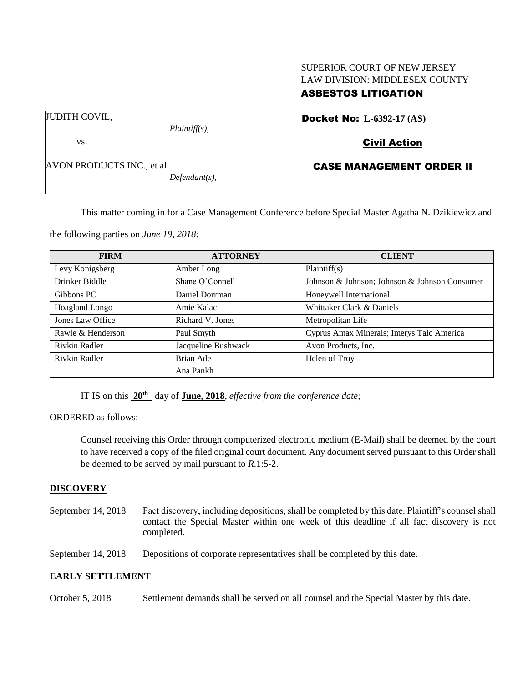# SUPERIOR COURT OF NEW JERSEY LAW DIVISION: MIDDLESEX COUNTY ASBESTOS LITIGATION

JUDITH COVIL,

vs.

AVON PRODUCTS INC., et al

*Defendant(s),*

*Plaintiff(s),*

Docket No: **L-6392-17 (AS)** 

# Civil Action

# CASE MANAGEMENT ORDER II

This matter coming in for a Case Management Conference before Special Master Agatha N. Dzikiewicz and

the following parties on *June 19, 2018:*

| <b>FIRM</b>       | <b>ATTORNEY</b>     | <b>CLIENT</b>                                 |
|-------------------|---------------------|-----------------------------------------------|
| Levy Konigsberg   | Amber Long          | Plaintiff(s)                                  |
| Drinker Biddle    | Shane O'Connell     | Johnson & Johnson; Johnson & Johnson Consumer |
| Gibbons PC        | Daniel Dorrman      | Honeywell International                       |
| Hoagland Longo    | Amie Kalac          | Whittaker Clark & Daniels                     |
| Jones Law Office  | Richard V. Jones    | Metropolitan Life                             |
| Rawle & Henderson | Paul Smyth          | Cyprus Amax Minerals; Imerys Talc America     |
| Rivkin Radler     | Jacqueline Bushwack | Avon Products, Inc.                           |
| Rivkin Radler     | Brian Ade           | Helen of Troy                                 |
|                   | Ana Pankh           |                                               |

IT IS on this  $20^{\text{th}}$  day of **June, 2018**, *effective from the conference date*;

ORDERED as follows:

Counsel receiving this Order through computerized electronic medium (E-Mail) shall be deemed by the court to have received a copy of the filed original court document. Any document served pursuant to this Order shall be deemed to be served by mail pursuant to *R*.1:5-2.

## **DISCOVERY**

September 14, 2018 Fact discovery, including depositions, shall be completed by this date. Plaintiff's counsel shall contact the Special Master within one week of this deadline if all fact discovery is not completed.

September 14, 2018 Depositions of corporate representatives shall be completed by this date.

## **EARLY SETTLEMENT**

October 5, 2018 Settlement demands shall be served on all counsel and the Special Master by this date.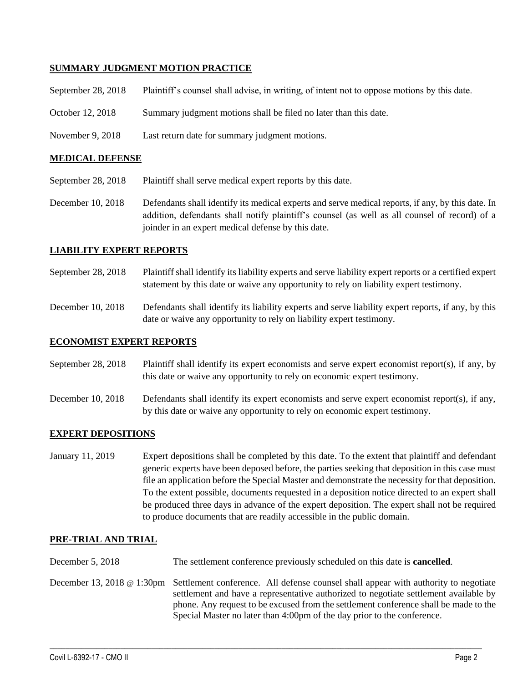## **SUMMARY JUDGMENT MOTION PRACTICE**

| September 28, $2018$ | Plaintiff's counsel shall advise, in writing, of intent not to oppose motions by this date. |
|----------------------|---------------------------------------------------------------------------------------------|
| October 12, 2018     | Summary judgment motions shall be filed no later than this date.                            |
| November 9, 2018     | Last return date for summary judgment motions.                                              |

#### **MEDICAL DEFENSE**

- September 28, 2018 Plaintiff shall serve medical expert reports by this date.
- December 10, 2018 Defendants shall identify its medical experts and serve medical reports, if any, by this date. In addition, defendants shall notify plaintiff's counsel (as well as all counsel of record) of a joinder in an expert medical defense by this date.

### **LIABILITY EXPERT REPORTS**

- September 28, 2018 Plaintiff shall identify its liability experts and serve liability expert reports or a certified expert statement by this date or waive any opportunity to rely on liability expert testimony.
- December 10, 2018 Defendants shall identify its liability experts and serve liability expert reports, if any, by this date or waive any opportunity to rely on liability expert testimony.

### **ECONOMIST EXPERT REPORTS**

September 28, 2018 Plaintiff shall identify its expert economists and serve expert economist report(s), if any, by this date or waive any opportunity to rely on economic expert testimony.

December 10, 2018 Defendants shall identify its expert economists and serve expert economist report(s), if any, by this date or waive any opportunity to rely on economic expert testimony.

### **EXPERT DEPOSITIONS**

January 11, 2019 Expert depositions shall be completed by this date. To the extent that plaintiff and defendant generic experts have been deposed before, the parties seeking that deposition in this case must file an application before the Special Master and demonstrate the necessity for that deposition. To the extent possible, documents requested in a deposition notice directed to an expert shall be produced three days in advance of the expert deposition. The expert shall not be required to produce documents that are readily accessible in the public domain.

#### **PRE-TRIAL AND TRIAL**

- December 5, 2018 The settlement conference previously scheduled on this date is **cancelled**.
- December 13, 2018 @ 1:30pm Settlement conference. All defense counsel shall appear with authority to negotiate settlement and have a representative authorized to negotiate settlement available by phone. Any request to be excused from the settlement conference shall be made to the Special Master no later than 4:00pm of the day prior to the conference.

 $\_$  ,  $\_$  ,  $\_$  ,  $\_$  ,  $\_$  ,  $\_$  ,  $\_$  ,  $\_$  ,  $\_$  ,  $\_$  ,  $\_$  ,  $\_$  ,  $\_$  ,  $\_$  ,  $\_$  ,  $\_$  ,  $\_$  ,  $\_$  ,  $\_$  ,  $\_$  ,  $\_$  ,  $\_$  ,  $\_$  ,  $\_$  ,  $\_$  ,  $\_$  ,  $\_$  ,  $\_$  ,  $\_$  ,  $\_$  ,  $\_$  ,  $\_$  ,  $\_$  ,  $\_$  ,  $\_$  ,  $\_$  ,  $\_$  ,